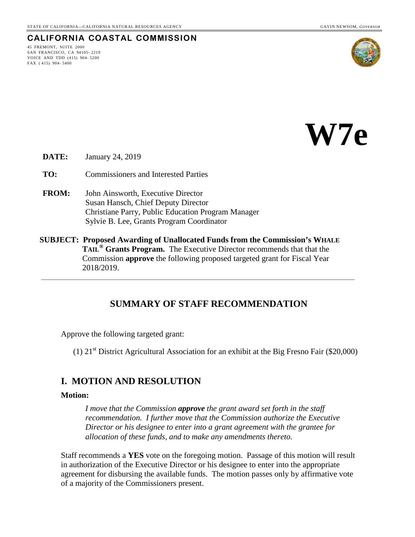## **CALIFORNIA COASTAL COMMISSION**

45 FREMONT, SUITE 2000 SAN FRANCISCO, CA 94105- 2219 VOICE AND TDD (415) 904- 5200 FAX ( 415) 904- 5400





**DATE:** January 24, 2019

**TO:** Commissioners and Interested Parties

- **FROM:** John Ainsworth, Executive Director Susan Hansch, Chief Deputy Director Christiane Parry, Public Education Program Manager Sylvie B. Lee, Grants Program Coordinator
- **SUBJECT: Proposed Awarding of Unallocated Funds from the Commission's WHALE TAIL® Grants Program.** The Executive Director recommends that that the Commission **approve** the following proposed targeted grant for Fiscal Year 2018/2019.

## **SUMMARY OF STAFF RECOMMENDATION**

Approve the following targeted grant:

(1)  $21<sup>st</sup>$  District Agricultural Association for an exhibit at the Big Fresno Fair (\$20,000)

### **I. MOTION AND RESOLUTION**

#### **Motion:**

*I move that the Commission approve the grant award set forth in the staff recommendation. I further move that the Commission authorize the Executive Director or his designee to enter into a grant agreement with the grantee for allocation of these funds, and to make any amendments thereto.* 

Staff recommends a **YES** vote on the foregoing motion. Passage of this motion will result in authorization of the Executive Director or his designee to enter into the appropriate agreement for disbursing the available funds. The motion passes only by affirmative vote of a majority of the Commissioners present.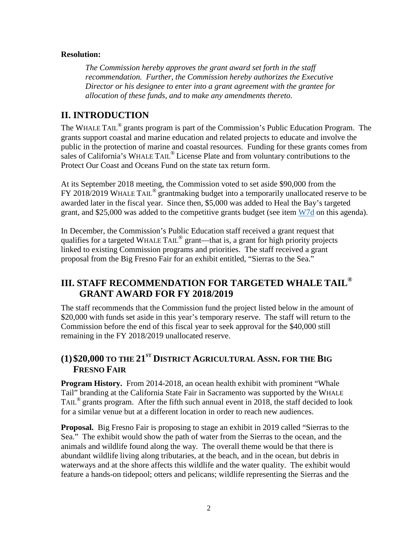### **Resolution:**

*The Commission hereby approves the grant award set forth in the staff recommendation. Further, the Commission hereby authorizes the Executive Director or his designee to enter into a grant agreement with the grantee for allocation of these funds, and to make any amendments thereto.* 

## **II. INTRODUCTION**

The WHALE TAIL<sup>®</sup> grants program is part of the Commission's Public Education Program. The grants support coastal and marine education and related projects to educate and involve the public in the protection of marine and coastal resources. Funding for these grants comes from sales of California's WHALE TAIL® License Plate and from voluntary contributions to the Protect Our Coast and Oceans Fund on the state tax return form.

At its September 2018 meeting, the Commission voted to set aside \$90,000 from the FY 2018/2019 WHALE TAIL<sup>®</sup> grantmaking budget into a temporarily unallocated reserve to be awarded later in the fiscal year. Since then, \$5,000 was added to Heal the Bay's targeted grant, and \$25,000 was added to the competitive grants budget (see item  $W7d$  on this agenda).

In December, the Commission's Public Education staff received a grant request that qualifies for a targeted WHALE TAIL® grant—that is, a grant for high priority projects linked to existing Commission programs and priorities. The staff received a grant proposal from the Big Fresno Fair for an exhibit entitled, "Sierras to the Sea."

## **III. STAFF RECOMMENDATION FOR TARGETED WHALE TAIL® GRANT AWARD FOR FY 2018/2019**

The staff recommends that the Commission fund the project listed below in the amount of \$20,000 with funds set aside in this year's temporary reserve. The staff will return to the Commission before the end of this fiscal year to seek approval for the \$40,000 still remaining in the FY 2018/2019 unallocated reserve.

# **(1)\$20,000 TO THE 21ST DISTRICT AGRICULTURAL ASSN. FOR THE BIG FRESNO FAIR**

**Program History.** From 2014-2018, an ocean health exhibit with prominent "Whale" Tail" branding at the California State Fair in Sacramento was supported by the WHALE TAIL<sup>®</sup> grants program. After the fifth such annual event in 2018, the staff decided to look for a similar venue but at a different location in order to reach new audiences.

**Proposal.** Big Fresno Fair is proposing to stage an exhibit in 2019 called "Sierras to the Sea." The exhibit would show the path of water from the Sierras to the ocean, and the animals and wildlife found along the way. The overall theme would be that there is abundant wildlife living along tributaries, at the beach, and in the ocean, but debris in waterways and at the shore affects this wildlife and the water quality. The exhibit would feature a hands-on tidepool; otters and pelicans; wildlife representing the Sierras and the